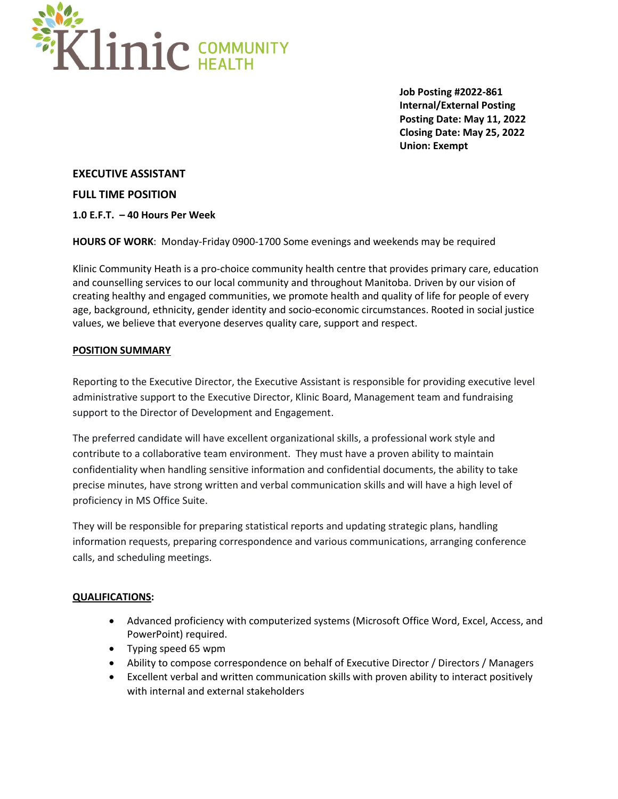

**Job Posting #2022-861 Internal/External Posting Posting Date: May 11, 2022 Closing Date: May 25, 2022 Union: Exempt**

**EXECUTIVE ASSISTANT**

**FULL TIME POSITION**

**1.0 E.F.T. – 40 Hours Per Week**

**HOURS OF WORK**: Monday-Friday 0900-1700 Some evenings and weekends may be required

Klinic Community Heath is a pro-choice community health centre that provides primary care, education and counselling services to our local community and throughout Manitoba. Driven by our vision of creating healthy and engaged communities, we promote health and quality of life for people of every age, background, ethnicity, gender identity and socio-economic circumstances. Rooted in social justice values, we believe that everyone deserves quality care, support and respect.

## **POSITION SUMMARY**

Reporting to the Executive Director, the Executive Assistant is responsible for providing executive level administrative support to the Executive Director, Klinic Board, Management team and fundraising support to the Director of Development and Engagement.

The preferred candidate will have excellent organizational skills, a professional work style and contribute to a collaborative team environment. They must have a proven ability to maintain confidentiality when handling sensitive information and confidential documents, the ability to take precise minutes, have strong written and verbal communication skills and will have a high level of proficiency in MS Office Suite.

They will be responsible for preparing statistical reports and updating strategic plans, handling information requests, preparing correspondence and various communications, arranging conference calls, and scheduling meetings.

## **QUALIFICATIONS:**

- Advanced proficiency with computerized systems (Microsoft Office Word, Excel, Access, and PowerPoint) required.
- Typing speed 65 wpm
- Ability to compose correspondence on behalf of Executive Director / Directors / Managers
- Excellent verbal and written communication skills with proven ability to interact positively with internal and external stakeholders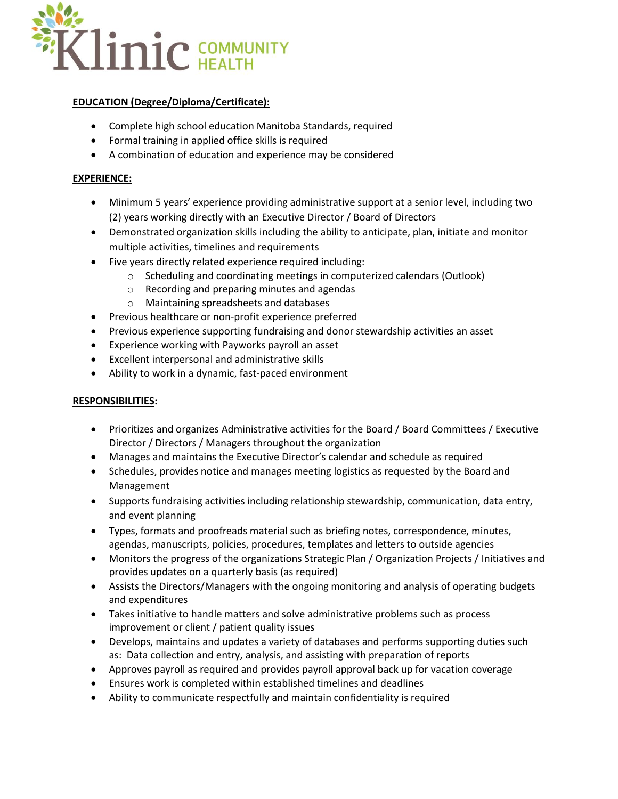

# **EDUCATION (Degree/Diploma/Certificate):**

- Complete high school education Manitoba Standards, required
- Formal training in applied office skills is required
- A combination of education and experience may be considered

# **EXPERIENCE:**

- Minimum 5 years' experience providing administrative support at a senior level, including two (2) years working directly with an Executive Director / Board of Directors
- Demonstrated organization skills including the ability to anticipate, plan, initiate and monitor multiple activities, timelines and requirements
- Five years directly related experience required including:
	- o Scheduling and coordinating meetings in computerized calendars (Outlook)
	- o Recording and preparing minutes and agendas
	- o Maintaining spreadsheets and databases
- Previous healthcare or non-profit experience preferred
- Previous experience supporting fundraising and donor stewardship activities an asset
- Experience working with Payworks payroll an asset
- Excellent interpersonal and administrative skills
- Ability to work in a dynamic, fast-paced environment

## **RESPONSIBILITIES:**

- Prioritizes and organizes Administrative activities for the Board / Board Committees / Executive Director / Directors / Managers throughout the organization
- Manages and maintains the Executive Director's calendar and schedule as required
- Schedules, provides notice and manages meeting logistics as requested by the Board and Management
- Supports fundraising activities including relationship stewardship, communication, data entry, and event planning
- Types, formats and proofreads material such as briefing notes, correspondence, minutes, agendas, manuscripts, policies, procedures, templates and letters to outside agencies
- Monitors the progress of the organizations Strategic Plan / Organization Projects / Initiatives and provides updates on a quarterly basis (as required)
- Assists the Directors/Managers with the ongoing monitoring and analysis of operating budgets and expenditures
- Takes initiative to handle matters and solve administrative problems such as process improvement or client / patient quality issues
- Develops, maintains and updates a variety of databases and performs supporting duties such as: Data collection and entry, analysis, and assisting with preparation of reports
- Approves payroll as required and provides payroll approval back up for vacation coverage
- Ensures work is completed within established timelines and deadlines
- Ability to communicate respectfully and maintain confidentiality is required